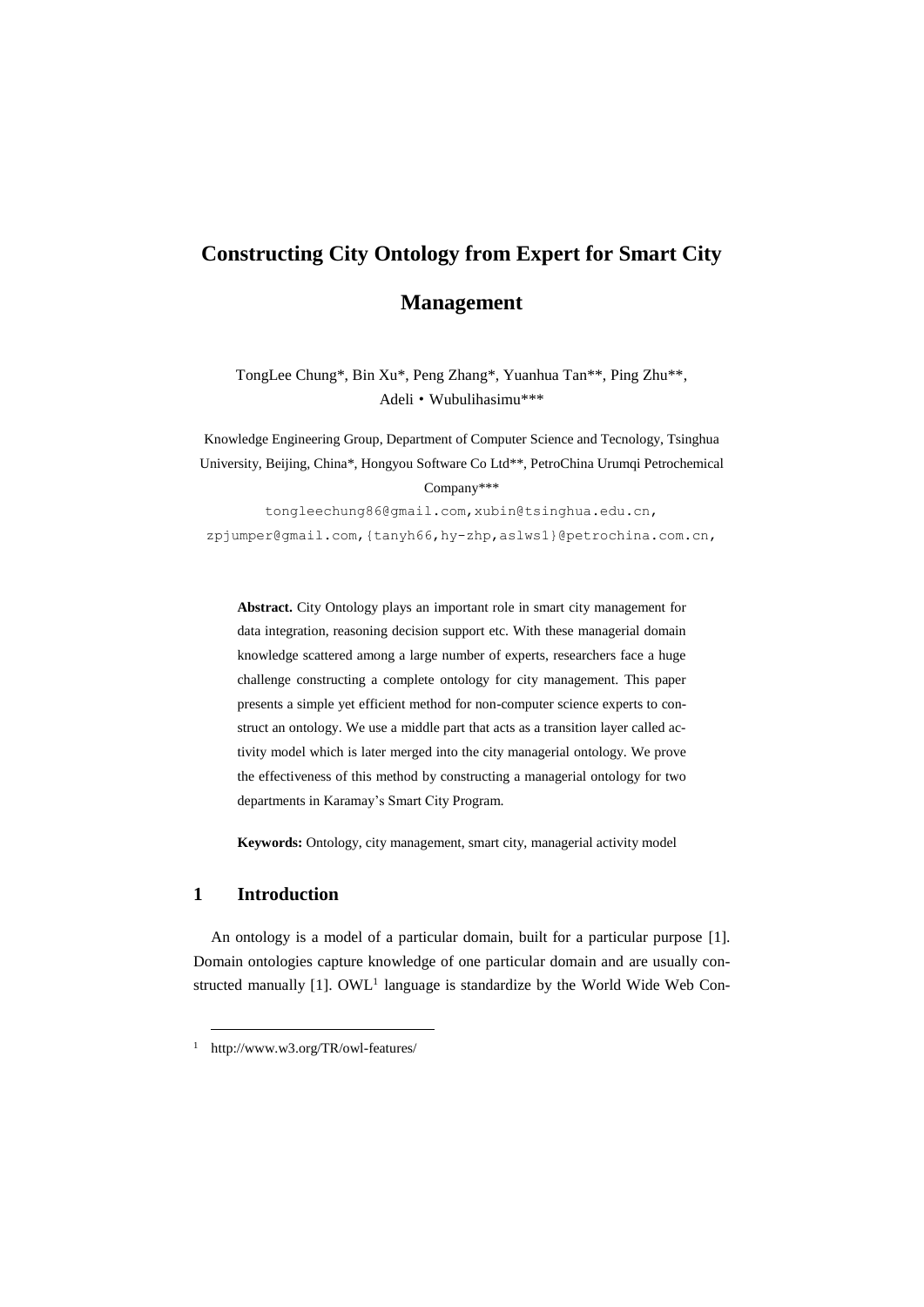# **Constructing City Ontology from Expert for Smart City Management**

TongLee Chung\*, Bin Xu\*, Peng Zhang\*, Yuanhua Tan\*\*, Ping Zhu\*\*, Adeli·Wubulihasimu\*\*\*

Knowledge Engineering Group, Department of Computer Science and Tecnology, Tsinghua University, Beijing, China\*, Hongyou Software Co Ltd\*\*, PetroChina Urumqi Petrochemical Company\*\*\*

[tongleechung86@gmail.com,xubin@tsinghua.edu.cn,](mailto:tongleechung86@gmail.com,xubin@tsinghua.edu.cn)

[zpjumper@gmail.com,{tanyh66,hy-zhp,aslws1}@petrochina.com.cn,](mailto:zpjumper@gmail.com,%7btanyh66,hy-zhp,aslws1%7d@petrochina.com.cn)

**Abstract.** City Ontology plays an important role in smart city management for data integration, reasoning decision support etc. With these managerial domain knowledge scattered among a large number of experts, researchers face a huge challenge constructing a complete ontology for city management. This paper presents a simple yet efficient method for non-computer science experts to construct an ontology. We use a middle part that acts as a transition layer called activity model which is later merged into the city managerial ontology. We prove the effectiveness of this method by constructing a managerial ontology for two departments in Karamay's Smart City Program.

**Keywords:** Ontology, city management, smart city, managerial activity model

## **1 Introduction**

1

An ontology is a model of a particular domain, built for a particular purpose [1]. Domain ontologies capture knowledge of one particular domain and are usually constructed manually [1].  $\text{OWL}^1$  language is standardize by the World Wide Web Con-

<sup>1</sup> <http://www.w3.org/TR/owl-features/>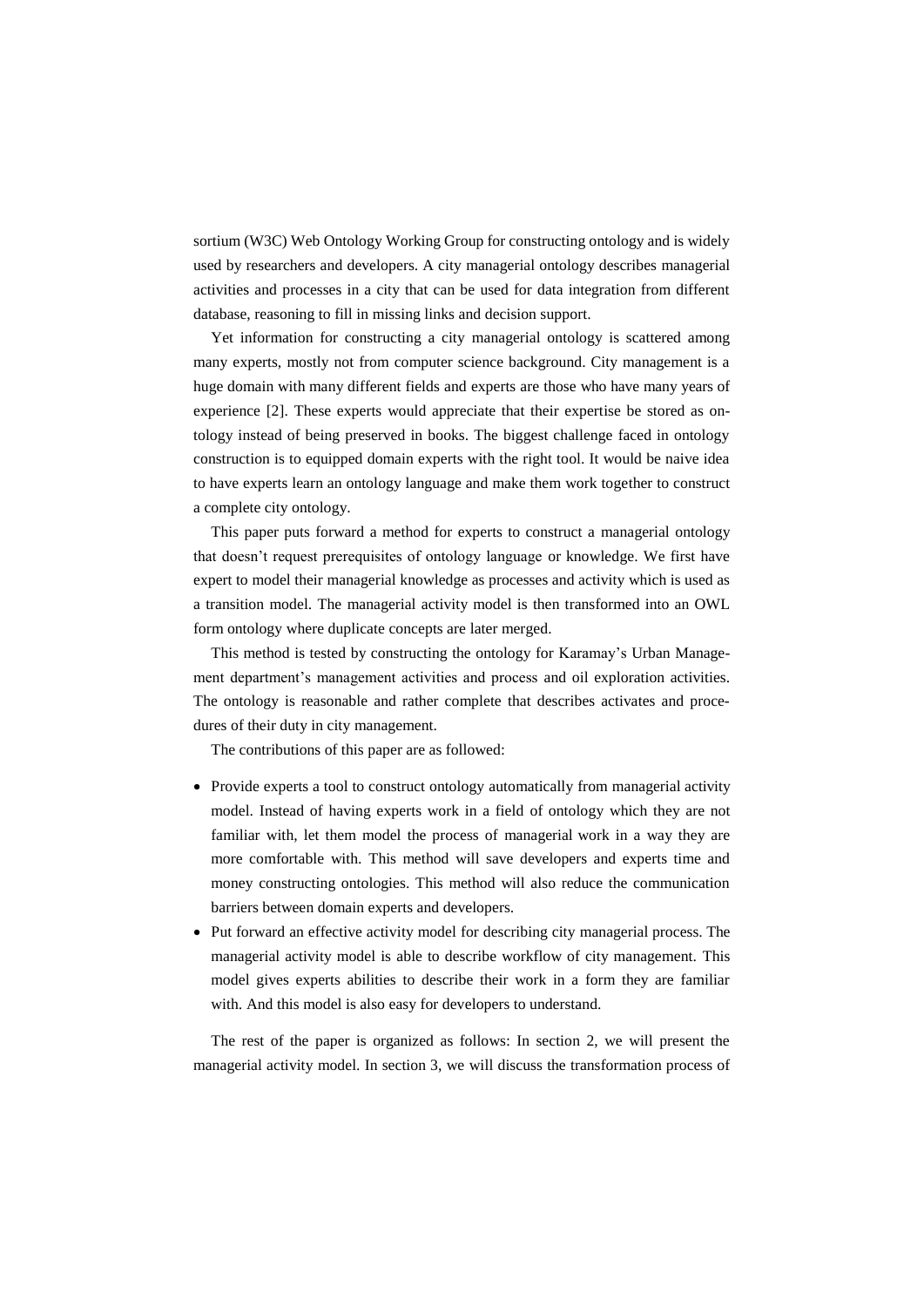sortium (W3C) Web Ontology Working Group for constructing ontology and is widely used by researchers and developers. A city managerial ontology describes managerial activities and processes in a city that can be used for data integration from different database, reasoning to fill in missing links and decision support.

Yet information for constructing a city managerial ontology is scattered among many experts, mostly not from computer science background. City management is a huge domain with many different fields and experts are those who have many years of experience [2]. These experts would appreciate that their expertise be stored as ontology instead of being preserved in books. The biggest challenge faced in ontology construction is to equipped domain experts with the right tool. It would be naive idea to have experts learn an ontology language and make them work together to construct a complete city ontology.

This paper puts forward a method for experts to construct a managerial ontology that doesn't request prerequisites of ontology language or knowledge. We first have expert to model their managerial knowledge as processes and activity which is used as a transition model. The managerial activity model is then transformed into an OWL form ontology where duplicate concepts are later merged.

This method is tested by constructing the ontology for Karamay's Urban Management department's management activities and process and oil exploration activities. The ontology is reasonable and rather complete that describes activates and procedures of their duty in city management.

The contributions of this paper are as followed:

- Provide experts a tool to construct ontology automatically from managerial activity model. Instead of having experts work in a field of ontology which they are not familiar with, let them model the process of managerial work in a way they are more comfortable with. This method will save developers and experts time and money constructing ontologies. This method will also reduce the communication barriers between domain experts and developers.
- Put forward an effective activity model for describing city managerial process. The managerial activity model is able to describe workflow of city management. This model gives experts abilities to describe their work in a form they are familiar with. And this model is also easy for developers to understand.

The rest of the paper is organized as follows: In section 2, we will present the managerial activity model. In section 3, we will discuss the transformation process of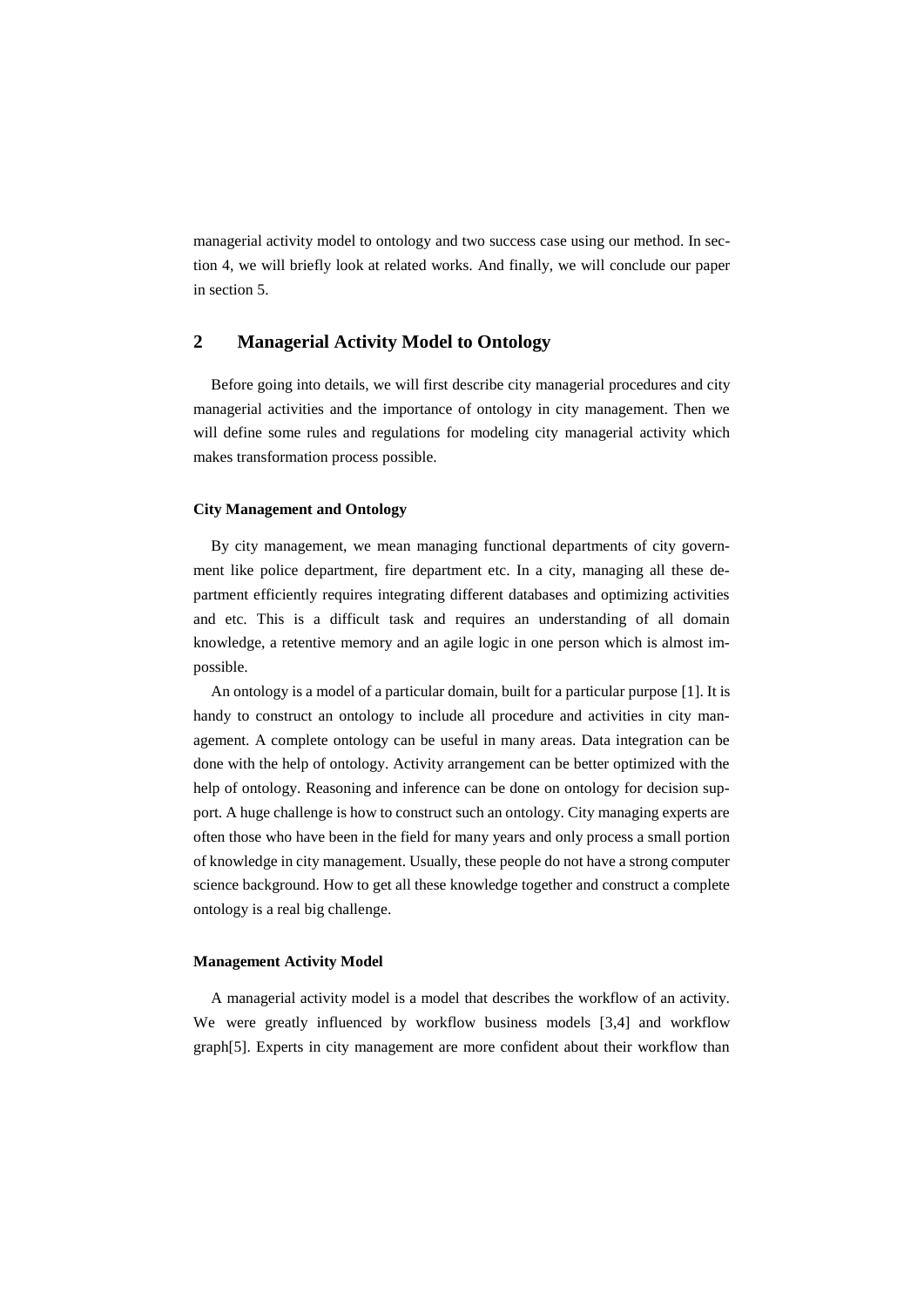managerial activity model to ontology and two success case using our method. In section 4, we will briefly look at related works. And finally, we will conclude our paper in section 5.

## **2 Managerial Activity Model to Ontology**

Before going into details, we will first describe city managerial procedures and city managerial activities and the importance of ontology in city management. Then we will define some rules and regulations for modeling city managerial activity which makes transformation process possible.

#### **City Management and Ontology**

By city management, we mean managing functional departments of city government like police department, fire department etc. In a city, managing all these department efficiently requires integrating different databases and optimizing activities and etc. This is a difficult task and requires an understanding of all domain knowledge, a retentive memory and an agile logic in one person which is almost impossible.

An ontology is a model of a particular domain, built for a particular purpose [1]. It is handy to construct an ontology to include all procedure and activities in city management. A complete ontology can be useful in many areas. Data integration can be done with the help of ontology. Activity arrangement can be better optimized with the help of ontology. Reasoning and inference can be done on ontology for decision support. A huge challenge is how to construct such an ontology. City managing experts are often those who have been in the field for many years and only process a small portion of knowledge in city management. Usually, these people do not have a strong computer science background. How to get all these knowledge together and construct a complete ontology is a real big challenge.

#### **Management Activity Model**

A managerial activity model is a model that describes the workflow of an activity. We were greatly influenced by workflow business models [3,4] and workflow graph[5]. Experts in city management are more confident about their workflow than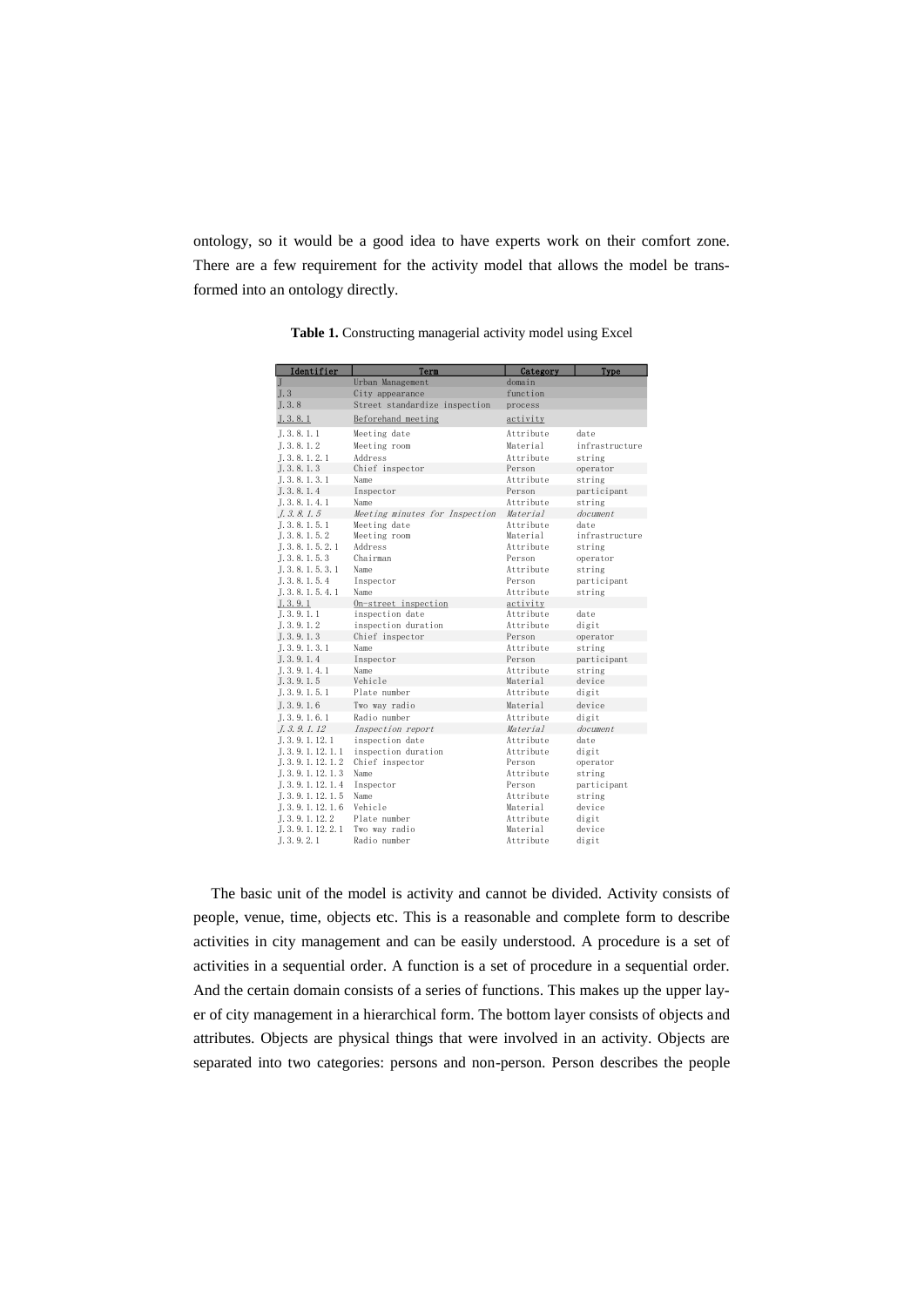ontology, so it would be a good idea to have experts work on their comfort zone. There are a few requirement for the activity model that allows the model be transformed into an ontology directly.

| Identifier            | Term                           | Category        | Type           |
|-----------------------|--------------------------------|-----------------|----------------|
| J                     | Urban Management               | domain          |                |
| J.3                   | City appearance                | function        |                |
| J.3.8                 | Street standardize inspection  | process         |                |
| J. 3.8.1              | Beforehand meeting             | activity        |                |
| J.3.8.1.1             | Meeting date                   | Attribute       | date           |
| J. 3.8.1.2            | Meeting room                   | Material        | infrastructure |
| J. 3.8.1.2.1          | Address                        | Attribute       | string         |
| J.3.8.1.3             | Chief inspector                | Person          | operator       |
| J.3.8.1.3.1           | Name                           | Attribute       | string         |
| I. 3.8.1.4            | Inspector                      | Person          | participant    |
| J. 3.8.1.4.1          | Name                           | Attribute       | string         |
| <i>J. 3. 8. 1.5</i>   | Meeting minutes for Inspection | <i>Material</i> | document       |
| I. 3.8.1.5.1          | Meeting date                   | Attribute       | date           |
| J. 3.8.1.5.2          | Meeting room                   | Material        | infrastructure |
| J. 3.8.1.5.2.1        | Address                        | Attribute       | string         |
| J.3.8.1.5.3           | Chairman                       | Person          | operator       |
| J. 3.8.1.5.3.1        | Name                           | Attribute       | string         |
| J.3.8.1.5.4           | Inspector                      | Person          | participant    |
| J. 3.8.1.5.4.1        | Name                           | Attribute       | string         |
| J.3.9.1               | On-street inspection           | activity        |                |
| I. 3.9.1.1            | inspection date                | Attribute       | date           |
| J.3.9.1.2             | inspection duration            | Attribute       | digit          |
| J.3.9.1.3             | Chief inspector                | Person          | operator       |
| J.3.9.1.3.1           | Name                           | Attribute       | string         |
| J.3.9.1.4             | Inspector                      | Person          | participant    |
| J.3.9.1.4.1           | Name                           | Attribute       | string         |
| J.3.9.1.5             | Vehicle                        | Material        | device         |
| J.3.9.1.5.1           | Plate number                   | Attribute       | digit          |
| J.3.9.1.6             | Two way radio                  | Material        | device         |
| T. 3.9.1.6.1          | Radio number                   | Attribute       | digit          |
| <i>J. 3. 9. 1. 12</i> | Inspection report              | Material        | document       |
| J. 3.9.1.12.1         | inspection date                | Attribute       | date           |
| J. 3.9.1.12.1.1       | inspection duration            | Attribute       | digit          |
| J. 3.9.1.12.1.2       | Chief inspector                | Person          | operator       |
| J. 3.9.1.12.1.3       | Name                           | Attribute       | string         |
| J. 3.9.1.12.1.4       | Inspector                      | Person          | participant    |
| J. 3.9.1.12.1.5       | Name                           | Attribute       | string         |
| J. 3.9.1.12.1.6       | Vehicle                        | Material        | device         |
| J. 3.9.1.12.2         | Plate number                   | Attribute       | digit          |
| J. 3.9.1.12.2.1       | Two way radio                  | Material        | device         |
| J.3.9.2.1             | Radio number                   | Attribute       | digit          |

**Table 1.** Constructing managerial activity model using Excel

The basic unit of the model is activity and cannot be divided. Activity consists of people, venue, time, objects etc. This is a reasonable and complete form to describe activities in city management and can be easily understood. A procedure is a set of activities in a sequential order. A function is a set of procedure in a sequential order. And the certain domain consists of a series of functions. This makes up the upper layer of city management in a hierarchical form. The bottom layer consists of objects and attributes. Objects are physical things that were involved in an activity. Objects are separated into two categories: persons and non-person. Person describes the people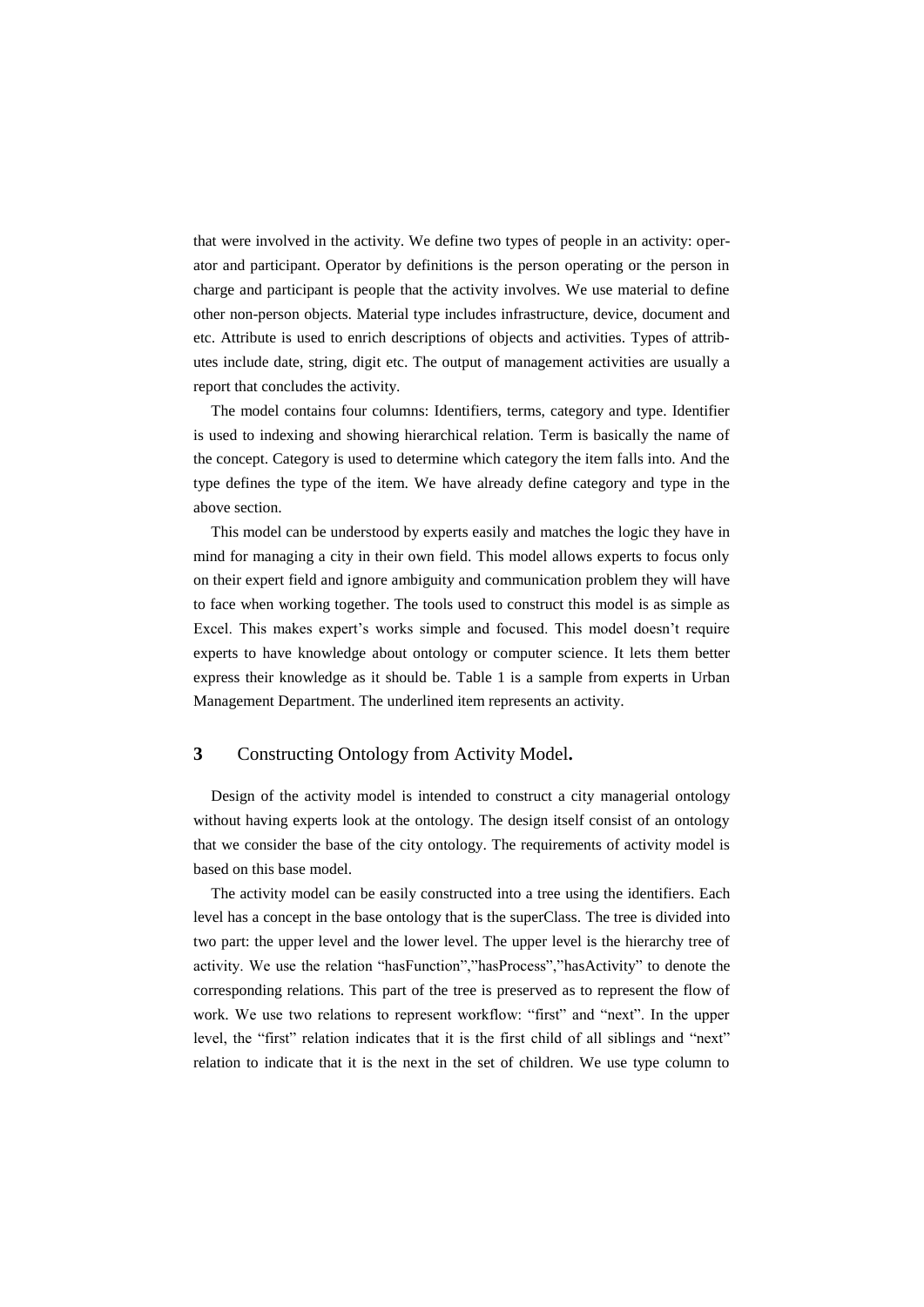that were involved in the activity. We define two types of people in an activity: operator and participant. Operator by definitions is the person operating or the person in charge and participant is people that the activity involves. We use material to define other non-person objects. Material type includes infrastructure, device, document and etc. Attribute is used to enrich descriptions of objects and activities. Types of attributes include date, string, digit etc. The output of management activities are usually a report that concludes the activity.

The model contains four columns: Identifiers, terms, category and type. Identifier is used to indexing and showing hierarchical relation. Term is basically the name of the concept. Category is used to determine which category the item falls into. And the type defines the type of the item. We have already define category and type in the above section.

This model can be understood by experts easily and matches the logic they have in mind for managing a city in their own field. This model allows experts to focus only on their expert field and ignore ambiguity and communication problem they will have to face when working together. The tools used to construct this model is as simple as Excel. This makes expert's works simple and focused. This model doesn't require experts to have knowledge about ontology or computer science. It lets them better express their knowledge as it should be. Table 1 is a sample from experts in Urban Management Department. The underlined item represents an activity.

#### **3** Constructing Ontology from Activity Model**.**

Design of the activity model is intended to construct a city managerial ontology without having experts look at the ontology. The design itself consist of an ontology that we consider the base of the city ontology. The requirements of activity model is based on this base model.

The activity model can be easily constructed into a tree using the identifiers. Each level has a concept in the base ontology that is the superClass. The tree is divided into two part: the upper level and the lower level. The upper level is the hierarchy tree of activity. We use the relation "hasFunction","hasProcess","hasActivity" to denote the corresponding relations. This part of the tree is preserved as to represent the flow of work. We use two relations to represent workflow: "first" and "next". In the upper level, the "first" relation indicates that it is the first child of all siblings and "next" relation to indicate that it is the next in the set of children. We use type column to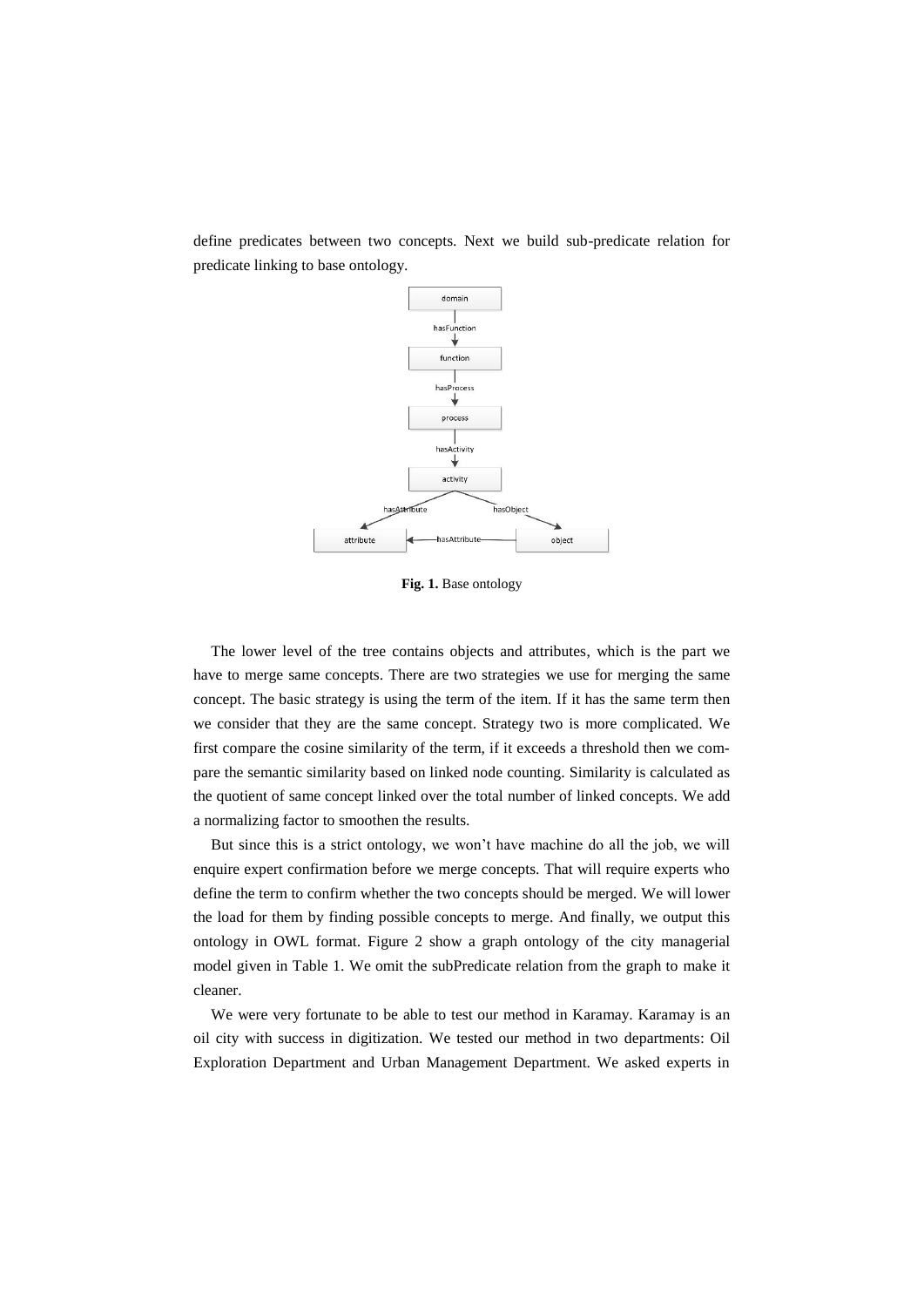

define predicates between two concepts. Next we build sub-predicate relation for predicate linking to base ontology.

**Fig. 1.** Base ontology

The lower level of the tree contains objects and attributes, which is the part we have to merge same concepts. There are two strategies we use for merging the same concept. The basic strategy is using the term of the item. If it has the same term then we consider that they are the same concept. Strategy two is more complicated. We first compare the cosine similarity of the term, if it exceeds a threshold then we compare the semantic similarity based on linked node counting. Similarity is calculated as the quotient of same concept linked over the total number of linked concepts. We add a normalizing factor to smoothen the results.

But since this is a strict ontology, we won't have machine do all the job, we will enquire expert confirmation before we merge concepts. That will require experts who define the term to confirm whether the two concepts should be merged. We will lower the load for them by finding possible concepts to merge. And finally, we output this ontology in OWL format. Figure 2 show a graph ontology of the city managerial model given in Table 1. We omit the subPredicate relation from the graph to make it cleaner.

We were very fortunate to be able to test our method in Karamay. Karamay is an oil city with success in digitization. We tested our method in two departments: Oil Exploration Department and Urban Management Department. We asked experts in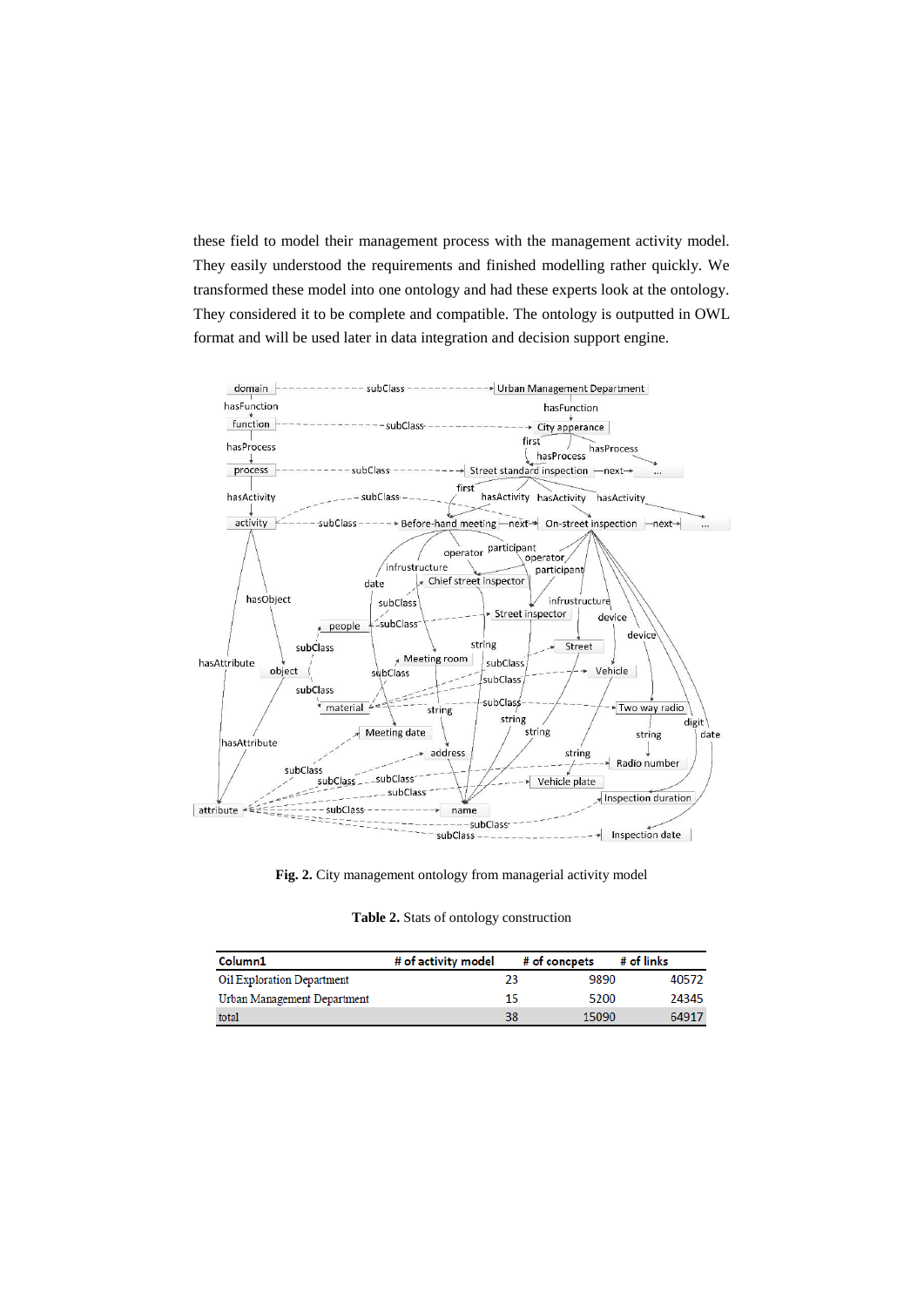these field to model their management process with the management activity model. They easily understood the requirements and finished modelling rather quickly. We transformed these model into one ontology and had these experts look at the ontology. They considered it to be complete and compatible. The ontology is outputted in OWL format and will be used later in data integration and decision support engine.



**Fig. 2.** City management ontology from managerial activity model

#### **Table 2.** Stats of ontology construction

| Column1                           | # of activity model |    | # of concpets | # of links |
|-----------------------------------|---------------------|----|---------------|------------|
| <b>Oil Exploration Department</b> |                     | 23 | 9890          | 40572      |
| Urban Management Department       |                     | 15 | 5200          | 24345      |
| total                             |                     | 38 | 15090         | 64917      |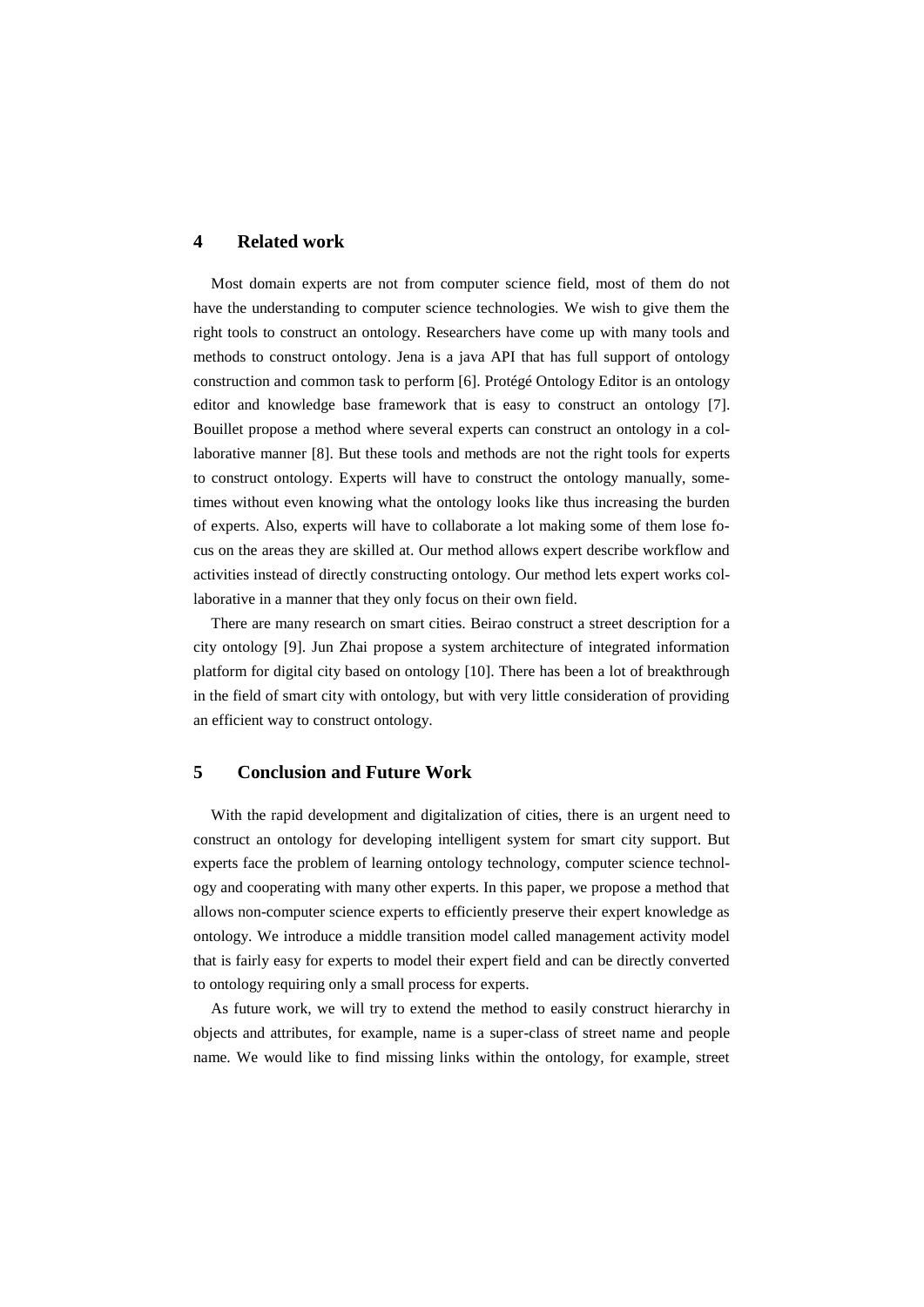## **4 Related work**

Most domain experts are not from computer science field, most of them do not have the understanding to computer science technologies. We wish to give them the right tools to construct an ontology. Researchers have come up with many tools and methods to construct ontology. Jena is a java API that has full support of ontology construction and common task to perform [6]. Protégé Ontology Editor is an ontology editor and knowledge base framework that is easy to construct an ontology [7]. Bouillet propose a method where several experts can construct an ontology in a collaborative manner [8]. But these tools and methods are not the right tools for experts to construct ontology. Experts will have to construct the ontology manually, sometimes without even knowing what the ontology looks like thus increasing the burden of experts. Also, experts will have to collaborate a lot making some of them lose focus on the areas they are skilled at. Our method allows expert describe workflow and activities instead of directly constructing ontology. Our method lets expert works collaborative in a manner that they only focus on their own field.

There are many research on smart cities. Beirao construct a street description for a city ontology [9]. Jun Zhai propose a system architecture of integrated information platform for digital city based on ontology [10]. There has been a lot of breakthrough in the field of smart city with ontology, but with very little consideration of providing an efficient way to construct ontology.

#### **5 Conclusion and Future Work**

With the rapid development and digitalization of cities, there is an urgent need to construct an ontology for developing intelligent system for smart city support. But experts face the problem of learning ontology technology, computer science technology and cooperating with many other experts. In this paper, we propose a method that allows non-computer science experts to efficiently preserve their expert knowledge as ontology. We introduce a middle transition model called management activity model that is fairly easy for experts to model their expert field and can be directly converted to ontology requiring only a small process for experts.

As future work, we will try to extend the method to easily construct hierarchy in objects and attributes, for example, name is a super-class of street name and people name. We would like to find missing links within the ontology, for example, street